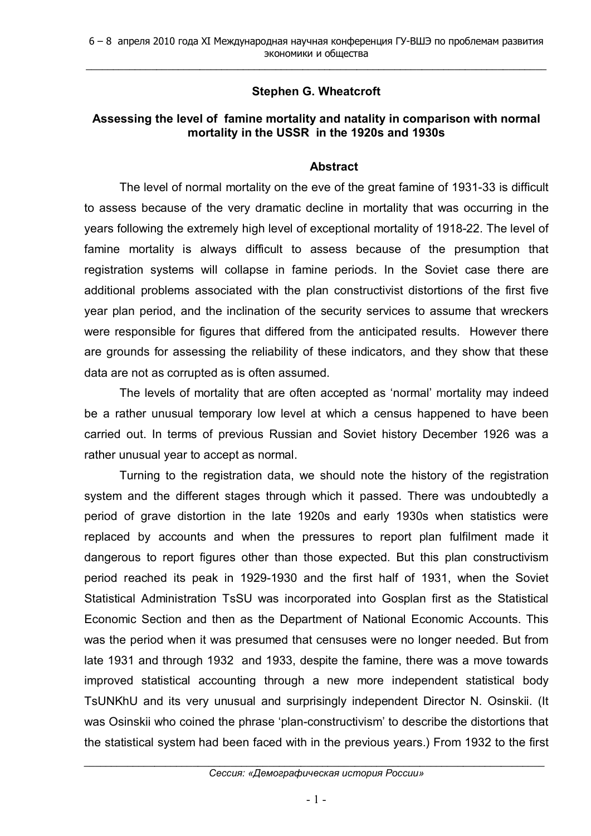## **Stephen G. Wheatcroft**

## **Assessing the level of famine mortality and natality in comparison with normal mortality in the USSR in the 1920s and 1930s**

## **Abstract**

The level of normal mortality on the eve of the great famine of 1931-33 is difficult to assess because of the very dramatic decline in mortality that was occurring in the years following the extremely high level of exceptional mortality of 1918-22. The level of famine mortality is always difficult to assess because of the presumption that registration systems will collapse in famine periods. In the Soviet case there are additional problems associated with the plan constructivist distortions of the first five year plan period, and the inclination of the security services to assume that wreckers were responsible for figures that differed from the anticipated results. However there are grounds for assessing the reliability of these indicators, and they show that these data are not as corrupted as is often assumed.

The levels of mortality that are often accepted as 'normal' mortality may indeed be a rather unusual temporary low level at which a census happened to have been carried out. In terms of previous Russian and Soviet history December 1926 was a rather unusual year to accept as normal.

Turning to the registration data, we should note the history of the registration system and the different stages through which it passed. There was undoubtedly a period of grave distortion in the late 1920s and early 1930s when statistics were replaced by accounts and when the pressures to report plan fulfilment made it dangerous to report figures other than those expected. But this plan constructivism period reached its peak in 1929-1930 and the first half of 1931, when the Soviet Statistical Administration TsSU was incorporated into Gosplan first as the Statistical Economic Section and then as the Department of National Economic Accounts. This was the period when it was presumed that censuses were no longer needed. But from late 1931 and through 1932 and 1933, despite the famine, there was a move towards improved statistical accounting through a new more independent statistical body TsUNKhU and its very unusual and surprisingly independent Director N. Osinskii. (It was Osinskii who coined the phrase 'plan-constructivism' to describe the distortions that the statistical system had been faced with in the previous years.) From 1932 to the first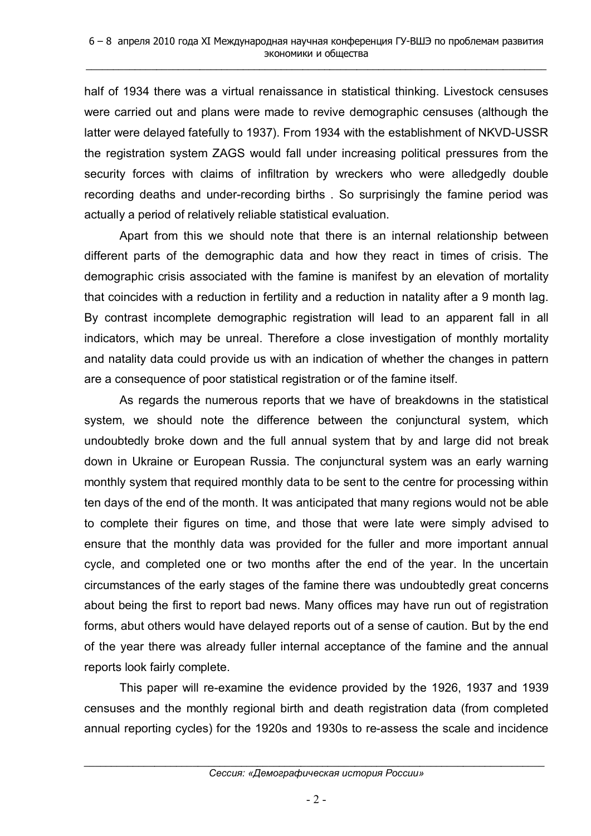half of 1934 there was a virtual renaissance in statistical thinking. Livestock censuses were carried out and plans were made to revive demographic censuses (although the latter were delayed fatefully to 1937). From 1934 with the establishment of NKVD-USSR the registration system ZAGS would fall under increasing political pressures from the security forces with claims of infiltration by wreckers who were alledgedly double recording deaths and under-recording births . So surprisingly the famine period was actually a period of relatively reliable statistical evaluation.

Apart from this we should note that there is an internal relationship between different parts of the demographic data and how they react in times of crisis. The demographic crisis associated with the famine is manifest by an elevation of mortality that coincides with a reduction in fertility and a reduction in natality after a 9 month lag. By contrast incomplete demographic registration will lead to an apparent fall in all indicators, which may be unreal. Therefore a close investigation of monthly mortality and natality data could provide us with an indication of whether the changes in pattern are a consequence of poor statistical registration or of the famine itself.

As regards the numerous reports that we have of breakdowns in the statistical system, we should note the difference between the conjunctural system, which undoubtedly broke down and the full annual system that by and large did not break down in Ukraine or European Russia. The conjunctural system was an early warning monthly system that required monthly data to be sent to the centre for processing within ten days of the end of the month. It was anticipated that many regions would not be able to complete their figures on time, and those that were late were simply advised to ensure that the monthly data was provided for the fuller and more important annual cycle, and completed one or two months after the end of the year. In the uncertain circumstances of the early stages of the famine there was undoubtedly great concerns about being the first to report bad news. Many offices may have run out of registration forms, abut others would have delayed reports out of a sense of caution. But by the end of the year there was already fuller internal acceptance of the famine and the annual reports look fairly complete.

This paper will re-examine the evidence provided by the 1926, 1937 and 1939 censuses and the monthly regional birth and death registration data (from completed annual reporting cycles) for the 1920s and 1930s to re-assess the scale and incidence